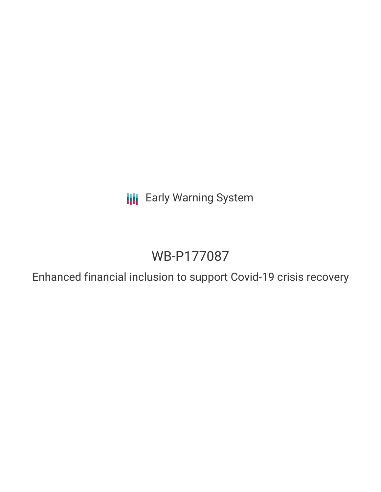**III** Early Warning System

# WB-P177087

Enhanced financial inclusion to support Covid-19 crisis recovery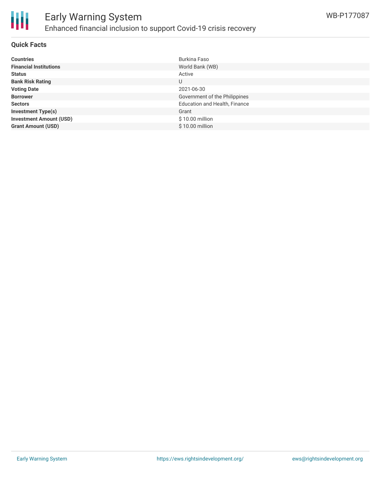

#### **Quick Facts**

| <b>Countries</b>               | Burkina Faso                         |
|--------------------------------|--------------------------------------|
| <b>Financial Institutions</b>  | World Bank (WB)                      |
| <b>Status</b>                  | Active                               |
| <b>Bank Risk Rating</b>        | U                                    |
| <b>Voting Date</b>             | 2021-06-30                           |
| <b>Borrower</b>                | Government of the Philippines        |
| <b>Sectors</b>                 | <b>Education and Health, Finance</b> |
| <b>Investment Type(s)</b>      | Grant                                |
| <b>Investment Amount (USD)</b> | $$10.00$ million                     |
| <b>Grant Amount (USD)</b>      | $$10.00$ million                     |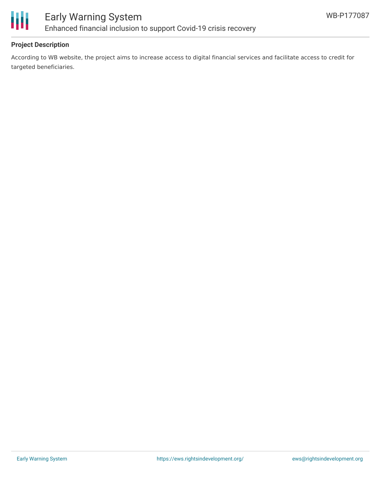

## **Project Description**

According to WB website, the project aims to increase access to digital financial services and facilitate access to credit for targeted beneficiaries.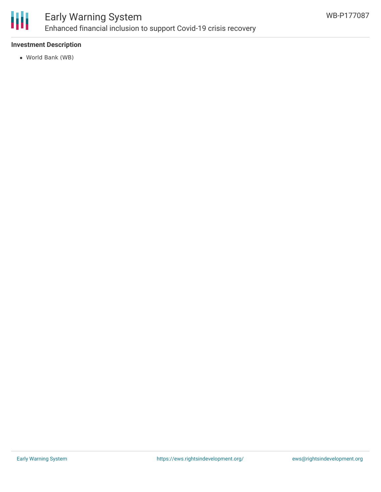

# Early Warning System Enhanced financial inclusion to support Covid-19 crisis recovery

## **Investment Description**

World Bank (WB)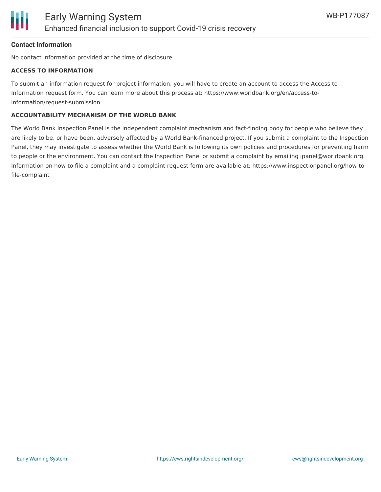#### **Contact Information**

No contact information provided at the time of disclosure.

#### **ACCESS TO INFORMATION**

To submit an information request for project information, you will have to create an account to access the Access to Information request form. You can learn more about this process at: https://www.worldbank.org/en/access-toinformation/request-submission

#### **ACCOUNTABILITY MECHANISM OF THE WORLD BANK**

The World Bank Inspection Panel is the independent complaint mechanism and fact-finding body for people who believe they are likely to be, or have been, adversely affected by a World Bank-financed project. If you submit a complaint to the Inspection Panel, they may investigate to assess whether the World Bank is following its own policies and procedures for preventing harm to people or the environment. You can contact the Inspection Panel or submit a complaint by emailing ipanel@worldbank.org. Information on how to file a complaint and a complaint request form are available at: https://www.inspectionpanel.org/how-tofile-complaint